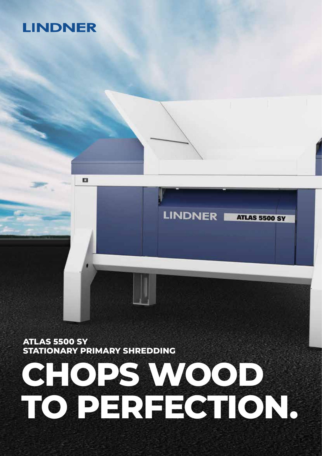# **LINDNER**

# **CHOPS WOOD TO PERFECTION.**

**LINDNER** 

**ATLAS 5500 SY** 

**ATLAS 5500 SY STATIONARY PRIMARY SHREDDING**

o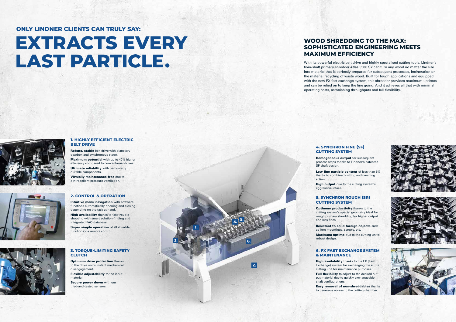# **EXTRACTS EVERY LAST PARTICLE.**



**1.**

**2.**

**3.**

**4. 5.**

**6.**

#### **1. HIGHLY EFFICIENT ELECTRIC BELT DRIVE**

Robust, stable belt drive with planetary gearbox and synchronous stage.

Maximum potential with up to 40% higher efficiency compared to conventional drives. **Ultimate reliability** with particularly durable components.

**Optimum drive protection thanks** to the drive unit's instant mechanical disengagement.

**Flexible adjustability** to the input material.

Secure power down with our tried-and-tested sensors.



Virtually maintenance-free due to dirt-repellent pressure ventilation.



#### **3. TORQUE-LIMITING SAFETY CLUTCH**

High output due to the cutting system's aggressive intake.

Intuitive menu navigation with software functions automatically opening and closing depending on the task at hand.

High availability thanks to fast troubleshooting with smart solution-finding and integrated FAQ database.

Super simple operation of all shredder functions via remote control.



#### **4. SYNCHRON FINE (SF) CUTTING SYSTEM**

Homogeneous output for subsequent process steps thanks to Lindner's patented

SF shaft design.

Low fine particle content of less than 5% thanks to combined cutting and crushing action.

#### **2. CONTROL & OPERATION**

High availability thanks to the FX (Fast Exchange) system for exchanging the entire cutting unit for maintenance purposes.

Full flexibility to adjust to the desired output material due to quickly exchangeable shaft configurations.

**Optimum productivity** thanks to the and less fines.

# **ONLY LINDNER CLIENTS CAN TRULY SAY:**

**Resistant to solid foreign objects such** as iron mountings, screws, etc. Maximum uptime due to the cutting unit's robust design.

### **WOOD SHREDDING TO THE MAX: SOPHISTICATED ENGINEERING MEETS MAXIMUM EFFICIENCY**

With its powerful electric belt drive and highly specialised cutting tools, Lindner's twin-shaft primary shredder Atlas 5500 SY can turn any wood no matter the size into material that is perfectly prepared for subsequent processes, incineration or the material recycling of waste wood. Built for tough applications and equipped with the new FX fast exchange system, this shredder provides maximum uptimes and can be relied on to keep the line going. And it achieves all that with minimal operating costs, astonishing throughputs and full flexibility.

#### **6. FX FAST EXCHANGE SYSTEM & MAINTENANCE**

Easy removal of non-shreddables thanks to generous access to the cutting chamber.

#### **5. SYNCHRON ROUGH (SR) CUTTING SYSTEM**

cutting system's special geometry ideal for rough primary shredding for higher output